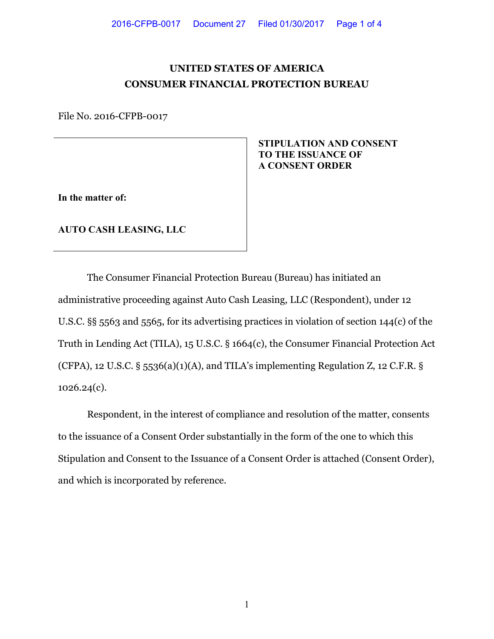# **UNITED STATES OF AMERICA CONSUMER FINANCIAL PROTECTION BUREAU**

File No. 2016-CFPB-0017

## **STIPULATION AND CONSENT TO THE ISSUANCE OF A CONSENT ORDER**

**In the matter of:**

**AUTO CASH LEASING, LLC**

The Consumer Financial Protection Bureau (Bureau) has initiated an administrative proceeding against Auto Cash Leasing, LLC (Respondent), under 12 U.S.C. §§ 5563 and 5565, for its advertising practices in violation of section 144(c) of the Truth in Lending Act (TILA), 15 U.S.C. § 1664(c), the Consumer Financial Protection Act (CFPA), 12 U.S.C. § 5536(a)(1)(A), and TILA's implementing Regulation Z, 12 C.F.R. § 1026.24(c).

Respondent, in the interest of compliance and resolution of the matter, consents to the issuance of a Consent Order substantially in the form of the one to which this Stipulation and Consent to the Issuance of a Consent Order is attached (Consent Order), and which is incorporated by reference.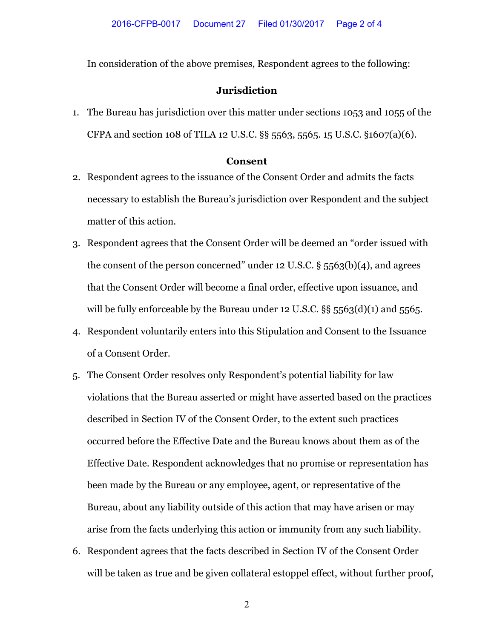In consideration of the above premises, Respondent agrees to the following:

### **Jurisdiction**

1. The Bureau has jurisdiction over this matter under sections 1053 and 1055 of the CFPA and section 108 of TILA 12 U.S.C. §§ 5563, 5565. 15 U.S.C. §1607(a)(6).

#### **Consent**

- 2. Respondent agrees to the issuance of the Consent Order and admits the facts necessary to establish the Bureau's jurisdiction over Respondent and the subject matter of this action.
- 3. Respondent agrees that the Consent Order will be deemed an "order issued with the consent of the person concerned" under 12 U.S.C. § 5563(b)(4), and agrees that the Consent Order will become a final order, effective upon issuance, and will be fully enforceable by the Bureau under 12 U.S.C.  $\S$ § 5563(d)(1) and 5565.
- 4. Respondent voluntarily enters into this Stipulation and Consent to the Issuance of a Consent Order.
- 5. The Consent Order resolves only Respondent's potential liability for law violations that the Bureau asserted or might have asserted based on the practices described in Section IV of the Consent Order, to the extent such practices occurred before the Effective Date and the Bureau knows about them as of the Effective Date. Respondent acknowledges that no promise or representation has been made by the Bureau or any employee, agent, or representative of the Bureau, about any liability outside of this action that may have arisen or may arise from the facts underlying this action or immunity from any such liability.
- 6. Respondent agrees that the facts described in Section IV of the Consent Order will be taken as true and be given collateral estoppel effect, without further proof,

2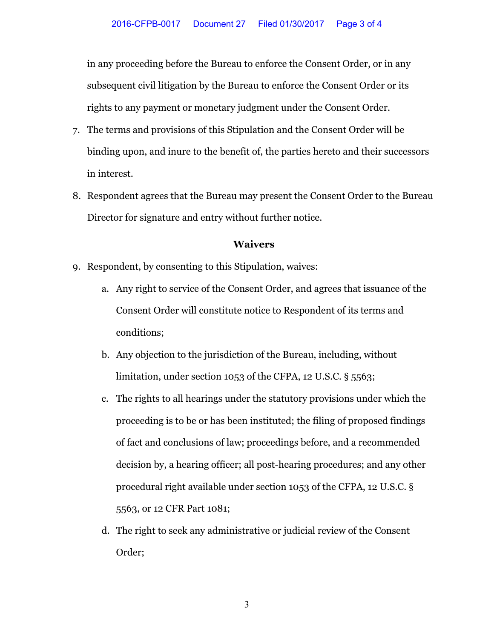in any proceeding before the Bureau to enforce the Consent Order, or in any subsequent civil litigation by the Bureau to enforce the Consent Order or its rights to any payment or monetary judgment under the Consent Order.

- 7. The terms and provisions of this Stipulation and the Consent Order will be binding upon, and inure to the benefit of, the parties hereto and their successors in interest.
- 8. Respondent agrees that the Bureau may present the Consent Order to the Bureau Director for signature and entry without further notice.

### **Waivers**

- 9. Respondent, by consenting to this Stipulation, waives:
	- a. Any right to service of the Consent Order, and agrees that issuance of the Consent Order will constitute notice to Respondent of its terms and conditions;
	- b. Any objection to the jurisdiction of the Bureau, including, without limitation, under section 1053 of the CFPA, 12 U.S.C. § 5563;
	- c. The rights to all hearings under the statutory provisions under which the proceeding is to be or has been instituted; the filing of proposed findings of fact and conclusions of law; proceedings before, and a recommended decision by, a hearing officer; all post-hearing procedures; and any other procedural right available under section 1053 of the CFPA, 12 U.S.C. § 5563, or 12 CFR Part 1081;
	- d. The right to seek any administrative or judicial review of the Consent Order;